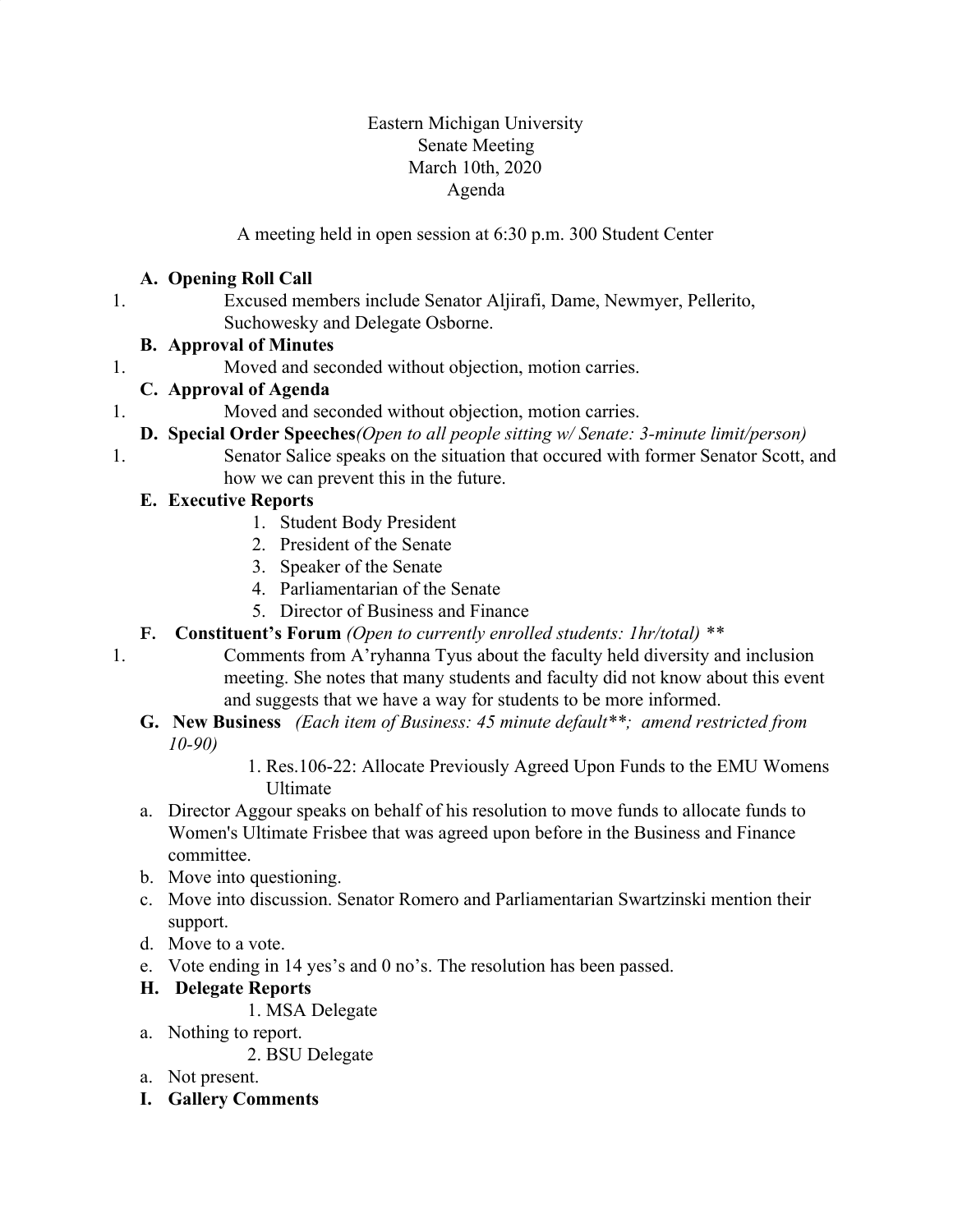#### Eastern Michigan University Senate Meeting March 10th, 2020 Agenda

A meeting held in open session at 6:30 p.m. 300 Student Center

#### **A. Opening Roll Call**

1. Excused members include Senator Aljirafi, Dame, Newmyer, Pellerito, Suchowesky and Delegate Osborne.

#### **B. Approval of Minutes**

1. Moved and seconded without objection, motion carries.

## **C. Approval of Agenda**

- 1. Moved and seconded without objection, motion carries.
- **D. Special Order Speeches***(Open to all people sitting w/ Senate: 3-minute limit/person)*
- 1. Senator Salice speaks on the situation that occured with former Senator Scott, and how we can prevent this in the future.

#### **E. Executive Reports**

- 1. Student Body President
- 2. President of the Senate
- 3. Speaker of the Senate
- 4. Parliamentarian of the Senate
- 5. Director of Business and Finance
- **F. Constituent's Forum** *(Open to currently enrolled students: 1hr/total) \*\**
- 1. Comments from A'ryhanna Tyus about the faculty held diversity and inclusion meeting. She notes that many students and faculty did not know about this event and suggests that we have a way for students to be more informed.
	- **G. New Business** *(Each item of Business: 45 minute default\*\*; amend restricted from 10-90)*

 1. Res.106-22: Allocate Previously Agreed Upon Funds to the EMU Womens Ultimate

- a. Director Aggour speaks on behalf of his resolution to move funds to allocate funds to Women's Ultimate Frisbee that was agreed upon before in the Business and Finance committee.
- b. Move into questioning.
- c. Move into discussion. Senator Romero and Parliamentarian Swartzinski mention their support.
- d. Move to a vote.
- e. Vote ending in 14 yes's and 0 no's. The resolution has been passed.

## **H. Delegate Reports**

1. MSA Delegate

a. Nothing to report.

2. BSU Delegate

- a. Not present.
- **I. Gallery Comments**